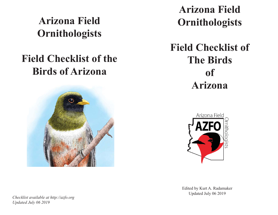**Arizona Field Ornithologists**

# **Field Checklist of the Birds of Arizona**



**Arizona Field Ornithologists**

**Field Checklist of The Birds of Arizona**



Edited by Kurt A. Radamaker Updated July 06 2019

*Checklist available at http://azfo.org Updated July 06 2019*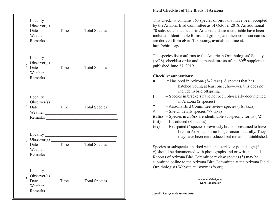|                |                                                       | Weather Learner and the state of the state of the state of the state of the state of the state of the state of the state of the state of the state of the state of the state of the state of the state of the state of the sta |
|----------------|-------------------------------------------------------|--------------------------------------------------------------------------------------------------------------------------------------------------------------------------------------------------------------------------------|
|                |                                                       | 2 Observer(s) Time Total Species                                                                                                                                                                                               |
| 3              |                                                       |                                                                                                                                                                                                                                |
| $\overline{4}$ |                                                       | $\text{Observe}(s)$                                                                                                                                                                                                            |
| 5              | Locality<br>Observer(s)<br>Date<br>Weather<br>Remarks | Time Total Species                                                                                                                                                                                                             |

### **Field Checklist of The Birds of Arizona**

This checklist contains 563 species of birds that have been accepted by the Arizona Bird Committee as of October 2018. An additional 70 subspecies that occur in Arizona and are identifiable have been included. Identifiable forms and groups, and their common names are derived from eBird Taxonomy, available online at: http://ebird.org/

The species list conforms to the American Ornithologists' Society  $(AOS)$ , checklist order and nomenclature as of the  $60<sup>th</sup>$  supplement published June 27, 2019.

#### **Checklist annotations:**

- $\bf{n}$  = Has bred in Arizona (342 taxa). A species that has hatched young at least once, however, this does not include hybrid offspring.
- **[ ]** = Species in brackets have not been physically documented in Arizona (2 species)
- **\***= Arizona Bird Committee review species (161 taxa)
- $#$  = Sketch details species (77 taxa)
- **italics** = Species in *italics* are identifiable subspecific forms  $(72)$
- **(int)** = Introduced (8 species)
- **(ex)** = Extirpated (4 species) previously bred or presumed to have bred in Arizona, but no longer occur naturally. They may have been reintroduced but remain unestablished.

Species or subspecies marked with an asterisk or pound sign (\*, #) should be documented with photographs and or written details. Reports of Arizona Bird Committee review species (\*) may be submitted online to the Arizona Bird Committee at the Arizona Field Ornithologists Website at : www.azfo.org.

> *layout and design by*  **Kurt Radamaker**

*Checklist last updated: July 06 2019*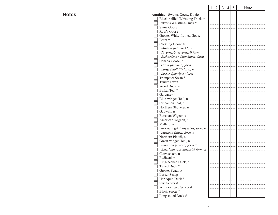**Notes**

|                                       | 1 | $\overline{2}$ | 3 | $\overline{4}$ | 5 | Note |
|---------------------------------------|---|----------------|---|----------------|---|------|
| <b>Anatidae - Swans, Geese, Ducks</b> |   |                |   |                |   |      |
| Black-bellied Whistling-Duck, n       |   |                |   |                |   |      |
| Fulvous Whistling-Duck *              |   |                |   |                |   |      |
| <b>Snow Goose</b>                     |   |                |   |                |   |      |
| Ross's Goose                          |   |                |   |                |   |      |
| Greater White-fronted Goose           |   |                |   |                |   |      |
| Brant <sup>*</sup>                    |   |                |   |                |   |      |
|                                       |   |                |   |                |   |      |
| Cackling Goose #                      |   |                |   |                |   |      |
| Minima (minima) form                  |   |                |   |                |   |      |
| Taverner's (taverneri) form           |   |                |   |                |   |      |
| Richardson's (hutchinsii) form        |   |                |   |                |   |      |
| Canada Goose, n                       |   |                |   |                |   |      |
| Giant (maxima) form                   |   |                |   |                |   |      |
| Large (moffitti) form, n              |   |                |   |                |   |      |
| Lesser (parvipes) form                |   |                |   |                |   |      |
| Trumpeter Swan *                      |   |                |   |                |   |      |
| Tundra Swan                           |   |                |   |                |   |      |
| Wood Duck, n                          |   |                |   |                |   |      |
| Baikal Teal *                         |   |                |   |                |   |      |
| Garganey <sup>*</sup>                 |   |                |   |                |   |      |
| Blue-winged Teal, n                   |   |                |   |                |   |      |
| Cinnamon Teal, n                      |   |                |   |                |   |      |
| Northern Shoveler, n                  |   |                |   |                |   |      |
| Gadwall, n                            |   |                |   |                |   |      |
| Eurasian Wigeon #                     |   |                |   |                |   |      |
| American Wigeon, n                    |   |                |   |                |   |      |
| Mallard, n                            |   |                |   |                |   |      |
| Northern (platyrhynchos) form, n      |   |                |   |                |   |      |
| Mexican (diazi) form, n               |   |                |   |                |   |      |
| Northern Pintail, n                   |   |                |   |                |   |      |
| Green-winged Teal, n                  |   |                |   |                |   |      |
| Eurasian (crecca) form *              |   |                |   |                |   |      |
| American (carolinensis) form, n       |   |                |   |                |   |      |
| Canvasback, n                         |   |                |   |                |   |      |
| Redhead, n                            |   |                |   |                |   |      |
| Ring-necked Duck, n                   |   |                |   |                |   |      |
| Tufted Duck *                         |   |                |   |                |   |      |
| Greater Scaup #                       |   |                |   |                |   |      |
| Lesser Scaup                          |   |                |   |                |   |      |
| Harlequin Duck *                      |   |                |   |                |   |      |
| Surf Scoter#                          |   |                |   |                |   |      |
| White-winged Scoter#                  |   |                |   |                |   |      |
| Black Scoter*                         |   |                |   |                |   |      |
| Long-tailed Duck #                    |   |                |   |                |   |      |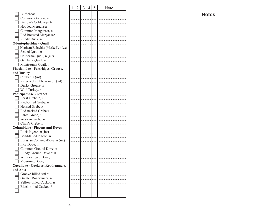|                                       | 1 | $\overline{2}$ | 3 | $\overline{4}$ | 5 | Note |
|---------------------------------------|---|----------------|---|----------------|---|------|
| Bufflehead                            |   |                |   |                |   |      |
| Common Goldeneye                      |   |                |   |                |   |      |
| Barrow's Goldeneye #                  |   |                |   |                |   |      |
| Hooded Merganser                      |   |                |   |                |   |      |
| Common Merganser, n                   |   |                |   |                |   |      |
| Red-breasted Merganser                |   |                |   |                |   |      |
| Ruddy Duck, n                         |   |                |   |                |   |      |
| Odontophoridae - Quail                |   |                |   |                |   |      |
| Northern Bobwhite (Masked), n (ex)    |   |                |   |                |   |      |
| Scaled Quail, n                       |   |                |   |                |   |      |
| California Quail, n (int)             |   |                |   |                |   |      |
| Gambel's Quail, n                     |   |                |   |                |   |      |
| Montezuma Quail, n                    |   |                |   |                |   |      |
| Phasianidae - Partridges, Grouse,     |   |                |   |                |   |      |
| and Turkey                            |   |                |   |                |   |      |
| Chukar, n (int)                       |   |                |   |                |   |      |
| Ring-necked Pheasant, n (int)         |   |                |   |                |   |      |
| Dusky Grouse, n                       |   |                |   |                |   |      |
| Wild Turkey, n                        |   |                |   |                |   |      |
| <b>Podicipedidae - Grebes</b>         |   |                |   |                |   |      |
| Least Grebe *, n                      |   |                |   |                |   |      |
| Pied-billed Grebe, n                  |   |                |   |                |   |      |
| Horned Grebe #                        |   |                |   |                |   |      |
| Red-necked Grebe #                    |   |                |   |                |   |      |
| Eared Grebe, n                        |   |                |   |                |   |      |
| Western Grebe, n                      |   |                |   |                |   |      |
| Clark's Grebe, n                      |   |                |   |                |   |      |
| <b>Columbidae - Pigeons and Doves</b> |   |                |   |                |   |      |
| Rock Pigeon, n (int)                  |   |                |   |                |   |      |
| Band-tailed Pigeon, n                 |   |                |   |                |   |      |
| Eurasian Collared-Dove, n (int)       |   |                |   |                |   |      |
| Inca Dove, n                          |   |                |   |                |   |      |
| Common Ground Dove, n                 |   |                |   |                |   |      |
| Ruddy Ground Dove #, n                |   |                |   |                |   |      |
| White-winged Dove, n                  |   |                |   |                |   |      |
| Mourning Dove, n                      |   |                |   |                |   |      |
| Cuculidae - Cuckoos, Roadrunners,     |   |                |   |                |   |      |
| and Anis                              |   |                |   |                |   |      |
| Groove-billed Ani*                    |   |                |   |                |   |      |
| Greater Roadrunner, n                 |   |                |   |                |   |      |
| Yellow-billed Cuckoo, n               |   |                |   |                |   |      |
| Black-billed Cuckoo*                  |   |                |   |                |   |      |
|                                       |   |                |   |                |   |      |
|                                       |   |                |   |                |   |      |
|                                       |   |                |   |                |   |      |

**Notes**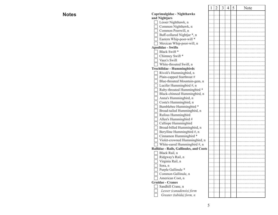#### $2 | 3 | 4 | 5 |$  Note **Caprimulgidae - Nighthawks and Nightjars** Lesser Nighthawk, n Common Nighthawk, n Common Poorwill, n  $\Box$  Buff-collared Nightjar  $^*$ , n Eastern Whip-poor-will \* Mexican Whip-poor-will, n **Apodidae - Swifts** Black Swift \* Chimney Swift \* Vaux's Swift White-throated Swift, n **Trochilidae - Hummingbirds** Rivoli's Hummingbird, n  $\Box$  Plain-capped Starthroat #  $\Box$  Blue-throated Mountain-gem, n  $\Box$  Lucifer Hummingbird #, n Ruby-throated Hummingbird \* Black-chinned Hummingbird, n Anna's Hummingbird, n Costa's Hummingbird, n Bumblebee Hummingbird \* Broad-tailed Hummingbird, n Rufous Hummingbird  $\Box$  Allen's Hummingbird # Calliope Hummingbird Broad-billed Hummingbird, n  $\Box$  Berylline Hummingbird #, n □ Cinnamon Hummingbird \* Violet-crowned Hummingbird, n  $\Box$  White-eared Hummingbird #, n **Rallidae - Rails, Gallinules, and Coots** Black Rail, n Ridgway's Rail, n Virginia Rail, n Sora, n Purple Gallinule \* Common Gallinule, n American Coot, n **Gruidae - Cranes** $\Box$  Sandhill Crane, n *Lesser (canadensis) form*

*Greater (tabida) form, n*

## **Notes**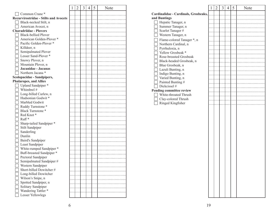|                                              | 1 | $\overline{2}$ | 3 | $\overline{4}$ | 5 | Note |
|----------------------------------------------|---|----------------|---|----------------|---|------|
| Common Crane*                                |   |                |   |                |   |      |
| <b>Recurvirostridae - Stilts and Avocets</b> |   |                |   |                |   |      |
| Black-necked Stilt, n                        |   |                |   |                |   |      |
| American Avocet, n                           |   |                |   |                |   |      |
| <b>Charadriidae - Plovers</b>                |   |                |   |                |   |      |
| <b>Black-bellied Plover</b>                  |   |                |   |                |   |      |
| American Golden-Plover *                     |   |                |   |                |   |      |
| Pacific Golden-Plover *                      |   |                |   |                |   |      |
| Killdeer, n                                  |   |                |   |                |   |      |
| Semipalmated Plover                          |   |                |   |                |   |      |
| Lesser Sand-Plover *                         |   |                |   |                |   |      |
| Snowy Plover, n                              |   |                |   |                |   |      |
| Mountain Plover, n                           |   |                |   |                |   |      |
| Jacanidae - Jacanas                          |   |                |   |                |   |      |
| Northern Jacana *                            |   |                |   |                |   |      |
| Scolopacidae - Sandpipers,                   |   |                |   |                |   |      |
| <b>Phalaropes, and Allies</b>                |   |                |   |                |   |      |
| Upland Sandpiper*                            |   |                |   |                |   |      |
| Whimbrel #                                   |   |                |   |                |   |      |
| Long-billed Curlew, n                        |   |                |   |                |   |      |
| Hudsonian Godwit*                            |   |                |   |                |   |      |
| Marbled Godwit                               |   |                |   |                |   |      |
| Ruddy Turnstone *                            |   |                |   |                |   |      |
| <b>Black Turnstone *</b>                     |   |                |   |                |   |      |
| Red Knot*                                    |   |                |   |                |   |      |
| $Ruff*$                                      |   |                |   |                |   |      |
| Sharp-tailed Sandpiper *                     |   |                |   |                |   |      |
| Stilt Sandpiper                              |   |                |   |                |   |      |
| Sanderling                                   |   |                |   |                |   |      |
| Dunlin                                       |   |                |   |                |   |      |
| Baird's Sandpiper                            |   |                |   |                |   |      |
| Least Sandpiper                              |   |                |   |                |   |      |
| White-rumped Sandpiper *                     |   |                |   |                |   |      |
| Buff-breasted Sandpiper *                    |   |                |   |                |   |      |
| Pectoral Sandpiper                           |   |                |   |                |   |      |
| Semipalmated Sandpiper#                      |   |                |   |                |   |      |
| Western Sandpiper                            |   |                |   |                |   |      |
| Short-billed Dowitcher #                     |   |                |   |                |   |      |
| Long-billed Dowitcher                        |   |                |   |                |   |      |
| Wilson's Snipe, n                            |   |                |   |                |   |      |
| Spotted Sandpiper, n                         |   |                |   |                |   |      |
| Solitary Sandpiper                           |   |                |   |                |   |      |
| Wandering Tattler*                           |   |                |   |                |   |      |
| Lesser Yellowlegs                            |   |                |   |                |   |      |
|                                              |   |                |   |                |   |      |

|                                      | 1 | $\overline{2}$ | 3 | 4 | 5 | Note |
|--------------------------------------|---|----------------|---|---|---|------|
| Cardinalidae - Cardinals, Grosbeaks, |   |                |   |   |   |      |
| and Buntings                         |   |                |   |   |   |      |
| Hepatic Tanager, n                   |   |                |   |   |   |      |
| Summer Tanager, n                    |   |                |   |   |   |      |
| Scarlet Tanager#                     |   |                |   |   |   |      |
| Western Tanager, n                   |   |                |   |   |   |      |
| Flame-colored Tanager *, n           |   |                |   |   |   |      |
| Northern Cardinal, n                 |   |                |   |   |   |      |
| Pyrrhuloxia, n                       |   |                |   |   |   |      |
| Yellow Grosbeak *                    |   |                |   |   |   |      |
| Rose-breasted Grosbeak               |   |                |   |   |   |      |
| Black-headed Grosbeak, n             |   |                |   |   |   |      |
| Blue Grosbeak, n                     |   |                |   |   |   |      |
| Lazuli Bunting, n                    |   |                |   |   |   |      |
| Indigo Bunting, n                    |   |                |   |   |   |      |
| Varied Bunting, n                    |   |                |   |   |   |      |
| Painted Bunting #                    |   |                |   |   |   |      |
| Dickcissel #                         |   |                |   |   |   |      |
| Pending committee review             |   |                |   |   |   |      |
| White-throated Thrush                |   |                |   |   |   |      |
| Clay-colored Thrush                  |   |                |   |   |   |      |
| Ringed Kingfisher                    |   |                |   |   |   |      |
|                                      |   |                |   |   |   |      |
|                                      |   |                |   |   |   |      |
|                                      |   |                |   |   |   |      |
|                                      |   |                |   |   |   |      |
|                                      |   |                |   |   |   |      |
|                                      |   |                |   |   |   |      |
|                                      |   |                |   |   |   |      |
|                                      |   |                |   |   |   |      |
|                                      |   |                |   |   |   |      |
|                                      |   |                |   |   |   |      |
|                                      |   |                |   |   |   |      |
|                                      |   |                |   |   |   |      |
|                                      |   |                |   |   |   |      |
|                                      |   |                |   |   |   |      |
|                                      |   |                |   |   |   |      |
|                                      |   |                |   |   |   |      |
|                                      |   |                |   |   |   |      |
|                                      |   |                |   |   |   |      |
|                                      |   |                |   |   |   |      |
|                                      |   |                |   |   |   |      |
|                                      |   |                |   |   |   |      |
|                                      |   |                |   |   |   |      |
|                                      |   |                |   |   |   |      |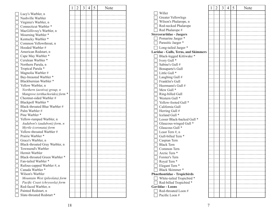|  |                                  | 1 | 2 | 3 | $\overline{4}$ | 5 | Note |
|--|----------------------------------|---|---|---|----------------|---|------|
|  | Lucy's Warbler, n                |   |   |   |                |   |      |
|  | Nashville Warbler                |   |   |   |                |   |      |
|  | Virginia's Warbler, n            |   |   |   |                |   |      |
|  | Connecticut Warbler *            |   |   |   |                |   |      |
|  | MacGillivray's Warbler, n        |   |   |   |                |   |      |
|  |                                  |   |   |   |                |   |      |
|  | Mourning Warbler *               |   |   |   |                |   |      |
|  | Kentucky Warbler*                |   |   |   |                |   |      |
|  | Common Yellowthroat, n           |   |   |   |                |   |      |
|  | Hooded Warbler #                 |   |   |   |                |   |      |
|  | American Redstart, n             |   |   |   |                |   |      |
|  | Cape May Warbler *               |   |   |   |                |   |      |
|  | Cerulean Warbler *               |   |   |   |                |   |      |
|  | Northern Parula, n               |   |   |   |                |   |      |
|  | Tropical Parula *                |   |   |   |                |   |      |
|  | Magnolia Warbler #               |   |   |   |                |   |      |
|  | Bay-breasted Warbler *           |   |   |   |                |   |      |
|  | Blackburnian Warbler *           |   |   |   |                |   |      |
|  | Yellow Warbler, n                |   |   |   |                |   |      |
|  | Northern (aestiva) group, n      |   |   |   |                |   |      |
|  | Mangrove (erithachorides) form * |   |   |   |                |   |      |
|  | Chestnut-sided Warbler #         |   |   |   |                |   |      |
|  | Blackpoll Warbler *              |   |   |   |                |   |      |
|  | Black-throated Blue Warbler #    |   |   |   |                |   |      |
|  | Palm Warbler #                   |   |   |   |                |   |      |
|  | Pine Warbler *                   |   |   |   |                |   |      |
|  | Yellow-rumped Warbler, n         |   |   |   |                |   |      |
|  | Audubon's (auduboni) form, n     |   |   |   |                |   |      |
|  | Myrtle (coronata) form           |   |   |   |                |   |      |
|  | Yellow-throated Warbler #        |   |   |   |                |   |      |
|  | Prairie Warbler *                |   |   |   |                |   |      |
|  | Grace's Warbler, n               |   |   |   |                |   |      |
|  | Black-throated Gray Warbler, n   |   |   |   |                |   |      |
|  | Townsend's Warbler               |   |   |   |                |   |      |
|  | Hermit Warbler                   |   |   |   |                |   |      |
|  | Black-throated Green Warbler *   |   |   |   |                |   |      |
|  | Fan-tailed Warbler *             |   |   |   |                |   |      |
|  | Rufous-capped Warbler #, n       |   |   |   |                |   |      |
|  | Canada Warbler *                 |   |   |   |                |   |      |
|  | Wilson's Warbler                 |   |   |   |                |   |      |
|  | Mountain West (pileolata) form   |   |   |   |                |   |      |
|  | Pacific Coast (chryseola) form   |   |   |   |                |   |      |
|  | Red-faced Warbler, n             |   |   |   |                |   |      |
|  | Painted Redstart, n              |   |   |   |                |   |      |
|  | Slate-throated Redstart *        |   |   |   |                |   |      |
|  |                                  |   |   |   |                |   |      |

|                                             | 1 | $\overline{2}$ | 3 | 4 | 5 | Note |
|---------------------------------------------|---|----------------|---|---|---|------|
| Willet                                      |   |                |   |   |   |      |
| <b>Greater Yellowlegs</b>                   |   |                |   |   |   |      |
| Wilson's Phalarope, n                       |   |                |   |   |   |      |
| Red-necked Phalarope                        |   |                |   |   |   |      |
| Red Phalarope #                             |   |                |   |   |   |      |
| <b>Stercorariidae - Jaegers</b>             |   |                |   |   |   |      |
| Pomarine Jaeger *                           |   |                |   |   |   |      |
| Parasitic Jaeger *                          |   |                |   |   |   |      |
| Long-tailed Jaeger *                        |   |                |   |   |   |      |
| <b>Laridae - Gulls, Terns, and Skimmers</b> |   |                |   |   |   |      |
| Black-legged Kittiwake *                    |   |                |   |   |   |      |
| Ivory Gull <sup>*</sup>                     |   |                |   |   |   |      |
| Sabine's Gull #                             |   |                |   |   |   |      |
| <b>Bonaparte's Gull</b>                     |   |                |   |   |   |      |
| Little Gull <sup>*</sup>                    |   |                |   |   |   |      |
| Laughing Gull #                             |   |                |   |   |   |      |
| Franklin's Gull                             |   |                |   |   |   |      |
| Heermann's Gull #                           |   |                |   |   |   |      |
| Mew Gull <sup>*</sup>                       |   |                |   |   |   |      |
| Ring-billed Gull                            |   |                |   |   |   |      |
| Western Gull <sup>*</sup>                   |   |                |   |   |   |      |
| Yellow-footed Gull <sup>*</sup>             |   |                |   |   |   |      |
| California Gull                             |   |                |   |   |   |      |
| Herring Gull #                              |   |                |   |   |   |      |
| Iceland Gull <sup>*</sup>                   |   |                |   |   |   |      |
| Lesser Black-backed Gull <sup>*</sup>       |   |                |   |   |   |      |
| Glaucous-winged Gull <sup>*</sup>           |   |                |   |   |   |      |
| Glaucous Gull <sup>*</sup>                  |   |                |   |   |   |      |
| Least Tern #, n                             |   |                |   |   |   |      |
| Gull-billed Tern *                          |   |                |   |   |   |      |
| Caspian Tern                                |   |                |   |   |   |      |
| <b>Black Tern</b>                           |   |                |   |   |   |      |
| Common Tern                                 |   |                |   |   |   |      |
| Arctic Tern <sup>*</sup>                    |   |                |   |   |   |      |
| Forster's Tern                              |   |                |   |   |   |      |
| Royal Tern <sup>*</sup>                     |   |                |   |   |   |      |
| Elegant Tern <sup>*</sup>                   |   |                |   |   |   |      |
| Black Skimmer*                              |   |                |   |   |   |      |
| <b>Phaethontidae - Tropicbirds</b>          |   |                |   |   |   |      |
| White-tailed Tropicbird *                   |   |                |   |   |   |      |
| Red-billed Tropicbird*                      |   |                |   |   |   |      |
| <b>Gaviidae - Loons</b>                     |   |                |   |   |   |      |
| Red-throated Loon #                         |   |                |   |   |   |      |
| Pacific Loon #                              |   |                |   |   |   |      |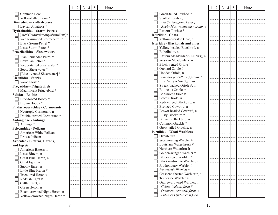|                                             | 1 | $\overline{2}$ | 3 | 4 | 5 | Note |
|---------------------------------------------|---|----------------|---|---|---|------|
| Common Loon                                 |   |                |   |   |   |      |
| Yellow-billed Loon <sup>*</sup>             |   |                |   |   |   |      |
| <b>Diomedeidae - Albatrosses</b>            |   |                |   |   |   |      |
| Laysan Albatross <sup>*</sup>               |   |                |   |   |   |      |
| <b>Hydrobatidae - Storm-Petrels</b>         |   |                |   |   |   |      |
| [Leach's/Townsend's/Ainley's Storm-Petrel]* |   |                |   |   |   |      |
| Wedge-rumped Storm-petrel *                 |   |                |   |   |   |      |
| Black Storm-Petrel *                        |   |                |   |   |   |      |
| Least Storm-Petrel *                        |   |                |   |   |   |      |
| <b>Procellariidae - Shearwaters</b>         |   |                |   |   |   |      |
| Juan Fernandez Petrel *                     |   |                |   |   |   |      |
| Hawaiian Petrel *                           |   |                |   |   |   |      |
| Wedge-tailed Shearwater *                   |   |                |   |   |   |      |
| Sooty Shearwater*                           |   |                |   |   |   |      |
| [Black-vented Shearwater] *                 |   |                |   |   |   |      |
| <b>Ciconiidae - Storks</b>                  |   |                |   |   |   |      |
| Wood Stork *                                |   |                |   |   |   |      |
| Fregatidae - Frigatebirds                   |   |                |   |   |   |      |
| Magnificent Frigatebird *                   |   |                |   |   |   |      |
| <b>Sulidae - Boobies</b>                    |   |                |   |   |   |      |
| Blue-footed Booby *                         |   |                |   |   |   |      |
| Brown Booby *                               |   |                |   |   |   |      |
| Phalacrocoracidae - Cormorants              |   |                |   |   |   |      |
| Neotropic Cormorant, n                      |   |                |   |   |   |      |
| Double-crested Cormorant, n                 |   |                |   |   |   |      |
| Anhingidae - Anhinga                        |   |                |   |   |   |      |
| Anhinga*                                    |   |                |   |   |   |      |
| <b>Pelecanidae - Pelicans</b>               |   |                |   |   |   |      |
| American White Pelican                      |   |                |   |   |   |      |
| <b>Brown Pelican</b>                        |   |                |   |   |   |      |
| Ardeidae - Bitterns, Herons,                |   |                |   |   |   |      |
| and Egrets                                  |   |                |   |   |   |      |
| American Bittern, n                         |   |                |   |   |   |      |
| Least Bittern, n                            |   |                |   |   |   |      |
| Great Blue Heron, n                         |   |                |   |   |   |      |
| Great Egret, n                              |   |                |   |   |   |      |
| Snowy Egret, n                              |   |                |   |   |   |      |
| Little Blue Heron #                         |   |                |   |   |   |      |
| Tricolored Heron #                          |   |                |   |   |   |      |
| Reddish Egret#                              |   |                |   |   |   |      |
| Cattle Egret, n                             |   |                |   |   |   |      |
| Green Heron, n                              |   |                |   |   |   |      |
| Black-crowned Night-Heron, n                |   |                |   |   |   |      |
| Yellow-crowned Night-Heron *                |   |                |   |   |   |      |

|                                   | 1 | 2 | 3 | 4 | 5 | Note |
|-----------------------------------|---|---|---|---|---|------|
| Green-tailed Towhee, n            |   |   |   |   |   |      |
| Spotted Towhee, n                 |   |   |   |   |   |      |
| Pacific (oregonus) group          |   |   |   |   |   |      |
| Rocky Mts. (montanus) group, n    |   |   |   |   |   |      |
| Eastern Towhee *                  |   |   |   |   |   |      |
| <b>Icteriidae - Chats</b>         |   |   |   |   |   |      |
| Yellow-breasted Chat, n           |   |   |   |   |   |      |
| Icteridae - Blackbirds and allies |   |   |   |   |   |      |
| Yellow-headed Blackbird, n        |   |   |   |   |   |      |
| Bobolink *, n                     |   |   |   |   |   |      |
| Eastern Meadowlark (Lilian's), n  |   |   |   |   |   |      |
| Western Meadowlark, n             |   |   |   |   |   |      |
| Black-vented Oriole *             |   |   |   |   |   |      |
| Orchard Oriole #                  |   |   |   |   |   |      |
| Hooded Oriole, n                  |   |   |   |   |   |      |
| Eastern (cucullatus) group, *     |   |   |   |   |   |      |
| Western (nelsoni) group, n        |   |   |   |   |   |      |
| Streak-backed Oriole #, n         |   |   |   |   |   |      |
| Bullock's Oriole, n               |   |   |   |   |   |      |
| Baltimore Oriole #                |   |   |   |   |   |      |
| Scott's Oriole, n                 |   |   |   |   |   |      |
| Red-winged Blackbird, n           |   |   |   |   |   |      |
| Bronzed Cowbird, n                |   |   |   |   |   |      |
| Brown-headed Cowbird, n           |   |   |   |   |   |      |
| Rusty Blackbird *                 |   |   |   |   |   |      |
| Brewer's Blackbird, n             |   |   |   |   |   |      |
| Common Grackle*                   |   |   |   |   |   |      |
| Great-tailed Grackle, n           |   |   |   |   |   |      |
| <b>Parulidae - Wood Warblers</b>  |   |   |   |   |   |      |
| Ovenbird #                        |   |   |   |   |   |      |
| Worm-eating Warbler #             |   |   |   |   |   |      |
| Louisiana Waterthrush #           |   |   |   |   |   |      |
| Northern Waterthrush              |   |   |   |   |   |      |
| Golden-winged Warbler *           |   |   |   |   |   |      |
| Blue-winged Warbler *             |   |   |   |   |   |      |
| Black-and-white Warbler, n        |   |   |   |   |   |      |
| Prothonotary Warbler #            |   |   |   |   |   |      |
| Swainson's Warbler *              |   |   |   |   |   |      |
| Crescent-chested Warbler *, n     |   |   |   |   |   |      |
| Tennessee Warbler #               |   |   |   |   |   |      |
| Orange-crowned Warbler, n         |   |   |   |   |   |      |
|                                   |   |   |   |   |   |      |
| Celata (celata) form #            |   |   |   |   |   |      |
| Orestera (orestera) form, n       |   |   |   |   |   |      |
| Lutescens (lutescens) form        |   |   |   |   |   |      |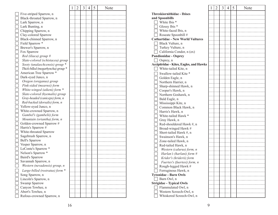|                                    | I | 2 | 3 | 4 | 5 | Note |
|------------------------------------|---|---|---|---|---|------|
| Five-striped Sparrow, n            |   |   |   |   |   |      |
| Black-throated Sparrow, n          |   |   |   |   |   |      |
| Lark Sparrow, n                    |   |   |   |   |   |      |
| Lark Bunting, n                    |   |   |   |   |   |      |
| Chipping Sparrow, n                |   |   |   |   |   |      |
| Clay-colored Sparrow               |   |   |   |   |   |      |
|                                    |   |   |   |   |   |      |
| Black-chinned Sparrow, n           |   |   |   |   |   |      |
| Field Sparrow *                    |   |   |   |   |   |      |
| Brewer's Sparrow, n                |   |   |   |   |   |      |
| Fox Sparrow                        |   |   |   |   |   |      |
| Red (iliaca) group #               |   |   |   |   |   |      |
| Slate-colored (schistacea) group   |   |   |   |   |   |      |
| Sooty (unalaschcensis) group *     |   |   |   |   |   |      |
| Thick-billed (megarhyncha) group * |   |   |   |   |   |      |
| American Tree Sparrow *            |   |   |   |   |   |      |
| Dark-eyed Junco, n                 |   |   |   |   |   |      |
| Oregon (oreganus) group            |   |   |   |   |   |      |
| Pink-sided (mearnsi) form          |   |   |   |   |   |      |
| White-winged (aikeni) form *       |   |   |   |   |   |      |
| Slate-colored (hyemalis) group     |   |   |   |   |   |      |
| Gray-headed (caniceps) form, n     |   |   |   |   |   |      |
| Red-backed (dorsalis) form, n      |   |   |   |   |   |      |
| Yellow-eyed Junco, n               |   |   |   |   |   |      |
| White-crowned Sparrow, n           |   |   |   |   |   |      |
| Gambel's (gambelii) form           |   |   |   |   |   |      |
| Mountain (oriantha) form, n        |   |   |   |   |   |      |
| Golden-crowned Sparrow #           |   |   |   |   |   |      |
| Harris's Sparrow #                 |   |   |   |   |   |      |
| White-throated Sparrow             |   |   |   |   |   |      |
| Sagebrush Sparrow, n               |   |   |   |   |   |      |
| <b>Bell's Sparrow</b>              |   |   |   |   |   |      |
| Vesper Sparrow, n                  |   |   |   |   |   |      |
| LeConte's Sparrow *                |   |   |   |   |   |      |
| Nelson's Sparrow *                 |   |   |   |   |   |      |
| Baird's Sparrow                    |   |   |   |   |   |      |
| Savannah Sparrow, n                |   |   |   |   |   |      |
|                                    |   |   |   |   |   |      |
| Western (nevadensis) group, n      |   |   |   |   |   |      |
| Large-billed (rostratus) form *    |   |   |   |   |   |      |
| Song Sparrow, n                    |   |   |   |   |   |      |
| Lincoln's Sparrow, n               |   |   |   |   |   |      |
| Swamp Sparrow                      |   |   |   |   |   |      |
| Canyon Towhee, n                   |   |   |   |   |   |      |
| Abert's Towhee, n                  |   |   |   |   |   |      |
| Rufous-crowned Sparrow, n          |   |   |   |   |   |      |

|                                                | 1 | 2 | 3 | 4 | 5 | Note |
|------------------------------------------------|---|---|---|---|---|------|
| <b>Threskiornithidae - Ibises</b>              |   |   |   |   |   |      |
| and Spoonbills                                 |   |   |   |   |   |      |
| White Ibis *                                   |   |   |   |   |   |      |
| Glossy Ibis *                                  |   |   |   |   |   |      |
| White-faced Ibis, n                            |   |   |   |   |   |      |
| Roseate Spoonbill #                            |   |   |   |   |   |      |
| <b>Cathartidae - New World Vultures</b>        |   |   |   |   |   |      |
| Black Vulture, n                               |   |   |   |   |   |      |
| Turkey Vulture, n                              |   |   |   |   |   |      |
| California Condor, n (ex)                      |   |   |   |   |   |      |
| <b>Pandionidae - Osprey</b>                    |   |   |   |   |   |      |
| Osprey, n                                      |   |   |   |   |   |      |
| <b>Accipitridae - Kites, Eagles, and Hawks</b> |   |   |   |   |   |      |
| White-tailed Kite, n                           |   |   |   |   |   |      |
| Swallow-tailed Kite <sup>*</sup>               |   |   |   |   |   |      |
| Golden Eagle, n                                |   |   |   |   |   |      |
| Northern Harrier, n                            |   |   |   |   |   |      |
|                                                |   |   |   |   |   |      |
| Sharp-shinned Hawk, n                          |   |   |   |   |   |      |
| Cooper's Hawk, n                               |   |   |   |   |   |      |
| Northern Goshawk, n                            |   |   |   |   |   |      |
| Bald Eagle, n                                  |   |   |   |   |   |      |
| Mississippi Kite, n                            |   |   |   |   |   |      |
| Common Black Hawk, n                           |   |   |   |   |   |      |
| Harris's Hawk, n                               |   |   |   |   |   |      |
| White-tailed Hawk *                            |   |   |   |   |   |      |
| Gray Hawk, n                                   |   |   |   |   |   |      |
| Red-shouldered Hawk #, n                       |   |   |   |   |   |      |
| Broad-winged Hawk #                            |   |   |   |   |   |      |
| Short-tailed Hawk #, n                         |   |   |   |   |   |      |
| Swainson's Hawk, n                             |   |   |   |   |   |      |
| Zone-tailed Hawk, n                            |   |   |   |   |   |      |
| Red-tailed Hawk, n                             |   |   |   |   |   |      |
| Western (calurus) form, n                      |   |   |   |   |   |      |
| Harlan's (harlani) form #                      |   |   |   |   |   |      |
| Krider's (kriderii) form                       |   |   |   |   |   |      |
| Fuertes's (fuertesi) form, n                   |   |   |   |   |   |      |
| Rough-legged Hawk #                            |   |   |   |   |   |      |
| Ferruginous Hawk, n                            |   |   |   |   |   |      |
| <b>Tytonidae - Barn Owls</b>                   |   |   |   |   |   |      |
| Barn Owl, n                                    |   |   |   |   |   |      |
| <b>Strigidae - Typical Owls</b>                |   |   |   |   |   |      |
| Flammulated Owl, n                             |   |   |   |   |   |      |
| Western Screech-Owl, n                         |   |   |   |   |   |      |
| Whiskered Screech-Owl, n                       |   |   |   |   |   |      |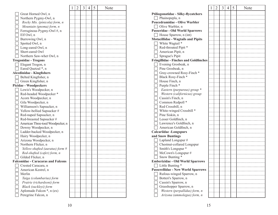|                                           | 1 | 2 | 3 | 4 | 5 | Note |
|-------------------------------------------|---|---|---|---|---|------|
| Great Horned Owl, n                       |   |   |   |   |   |      |
| Northern Pygmy-Owl, n                     |   |   |   |   |   |      |
| Rocky Mts. (pinicola) form, n             |   |   |   |   |   |      |
| Mountain (gnoma) form, n                  |   |   |   |   |   |      |
| Ferruginous Pygmy-Owl #, n                |   |   |   |   |   |      |
| Elf Owl, n                                |   |   |   |   |   |      |
| Burrowing Owl, n                          |   |   |   |   |   |      |
| Spotted Owl, n                            |   |   |   |   |   |      |
| Long-eared Owl, n                         |   |   |   |   |   |      |
| Short-eared Owl                           |   |   |   |   |   |      |
| Northern Saw-whet Owl, n                  |   |   |   |   |   |      |
| <b>Trogonidae - Trogons</b>               |   |   |   |   |   |      |
| Elegant Trogon, n                         |   |   |   |   |   |      |
| Eared Quetzal *, n                        |   |   |   |   |   |      |
| <b>Alcedinidae - Kingfishers</b>          |   |   |   |   |   |      |
| Belted Kingfisher, n                      |   |   |   |   |   |      |
| Green Kingfisher, n                       |   |   |   |   |   |      |
| <b>Picidae - Woodpeckers</b>              |   |   |   |   |   |      |
| Lewis's Woodpecker, n                     |   |   |   |   |   |      |
| Red-headed Woodpecker*                    |   |   |   |   |   |      |
| Acorn Woodpecker, n                       |   |   |   |   |   |      |
| Gila Woodpecker, n                        |   |   |   |   |   |      |
| Williamson's Sapsucker, n                 |   |   |   |   |   |      |
| Yellow-bellied Sapsucker #                |   |   |   |   |   |      |
| Red-naped Sapsucker, n                    |   |   |   |   |   |      |
| Red-breasted Sapsucker#                   |   |   |   |   |   |      |
| American Three-toed Woodpecker, n         |   |   |   |   |   |      |
| Downy Woodpecker, n                       |   |   |   |   |   |      |
| Ladder-backed Woodpecker, n               |   |   |   |   |   |      |
| Hairy Woodpecker, n                       |   |   |   |   |   |      |
| Arizona Woodpecker, n                     |   |   |   |   |   |      |
| Northern Flicker, n                       |   |   |   |   |   |      |
| Yellow-shafted (auratus) form #           |   |   |   |   |   |      |
| Red-shafted (cafer) form, n               |   |   |   |   |   |      |
| Gilded Flicker, n                         |   |   |   |   |   |      |
| <b>Falconidae - Caracaras and Falcons</b> |   |   |   |   |   |      |
| Crested Caracara, n                       |   |   |   |   |   |      |
| American Kestrel, n                       |   |   |   |   |   |      |
| Merlin                                    |   |   |   |   |   |      |
| Taiga (columbarius) form                  |   |   |   |   |   |      |
| Prairie (richardsoni) form                |   |   |   |   |   |      |
| Black (suckleyi) form                     |   |   |   |   |   |      |
| Aplomado Falcon *, n (ex)                 |   |   |   |   |   |      |
| Peregrine Falcon, n                       |   |   |   |   |   |      |
|                                           |   |   |   |   |   |      |

|                                               | I | 2 | 3 | 4 | 5 | Note |
|-----------------------------------------------|---|---|---|---|---|------|
| Ptiliogonatidae - Silky-flycatchers           |   |   |   |   |   |      |
| Phainopepla, n                                |   |   |   |   |   |      |
| Peucedramidae - Olive Warbler                 |   |   |   |   |   |      |
| Olive Warbler, n                              |   |   |   |   |   |      |
| Passeridae - Old World Sparrows               |   |   |   |   |   |      |
| House Sparrow, n (int)                        |   |   |   |   |   |      |
| <b>Motacillidae - Wagtails and Pipits</b>     |   |   |   |   |   |      |
| White Wagtail *                               |   |   |   |   |   |      |
| Red-throated Pipit *                          |   |   |   |   |   |      |
| American Pipit, n                             |   |   |   |   |   |      |
| Sprague's Pipit                               |   |   |   |   |   |      |
| <b>Fringillidae - Finches and Goldfinches</b> |   |   |   |   |   |      |
| Evening Grosbeak, n                           |   |   |   |   |   |      |
| Pine Grosbeak, n                              |   |   |   |   |   |      |
| Gray-crowned Rosy-Finch *                     |   |   |   |   |   |      |
| Black Rosy-Finch *                            |   |   |   |   |   |      |
| House Finch, n                                |   |   |   |   |   |      |
| Purple Finch *                                |   |   |   |   |   |      |
| Eastern (purpureus) group *                   |   |   |   |   |   |      |
| Western (californicus) group                  |   |   |   |   |   |      |
| Cassin's Finch, n                             |   |   |   |   |   |      |
| Common Redpoll *                              |   |   |   |   |   |      |
| Red Crossbill, n                              |   |   |   |   |   |      |
| White-winged Crossbill *                      |   |   |   |   |   |      |
| Pine Siskin, n                                |   |   |   |   |   |      |
| Lesser Goldfinch, n                           |   |   |   |   |   |      |
| Lawrence's Goldfinch, n                       |   |   |   |   |   |      |
| American Goldfinch, n                         |   |   |   |   |   |      |
| <b>Calcariidae -Longspurs</b>                 |   |   |   |   |   |      |
| and Snow Buntings                             |   |   |   |   |   |      |
| Lapland Longspur #                            |   |   |   |   |   |      |
| Chestnut-collared Longspur                    |   |   |   |   |   |      |
| Smith's Longspur *                            |   |   |   |   |   |      |
| McCown's Longspur #                           |   |   |   |   |   |      |
| Snow Bunting *                                |   |   |   |   |   |      |
| <b>Emberizidae - Old World Sparrows</b>       |   |   |   |   |   |      |
| Little Bunting *                              |   |   |   |   |   |      |
| <b>Passerellidae - New World Sparrows</b>     |   |   |   |   |   |      |
| Rufous-winged Sparrow, n                      |   |   |   |   |   |      |
| Botteri's Sparrow, n                          |   |   |   |   |   |      |
| Cassin's Sparrow, n                           |   |   |   |   |   |      |
| Grasshopper Sparrow, n                        |   |   |   |   |   |      |
| Western (perpallidus) form, n                 |   |   |   |   |   |      |
| Arizona (ammolegus) form, n                   |   |   |   |   |   |      |

г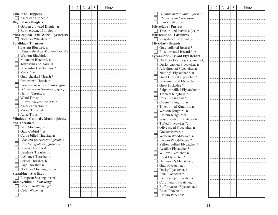|                                                                      | I | 2 | 3 | 4 | 5 | Note |
|----------------------------------------------------------------------|---|---|---|---|---|------|
| <b>Cinclidae - Dippers</b>                                           |   |   |   |   |   |      |
| American Dipper, n                                                   |   |   |   |   |   |      |
| <b>Regulidae - Kinglets</b>                                          |   |   |   |   |   |      |
| Golden-crowned Kinglet, n                                            |   |   |   |   |   |      |
| Ruby-crowned Kinglet, n                                              |   |   |   |   |   |      |
| <b>Muscicapidae - Old World Flycatchers</b>                          |   |   |   |   |   |      |
| Northern Wheatear *                                                  |   |   |   |   |   |      |
| <b>Turdidae - Thrushes</b>                                           |   |   |   |   |   |      |
| Eastern Bluebird, n                                                  |   |   |   |   |   |      |
| Eastern Bluebird (Eastern) form, # n                                 |   |   |   |   |   |      |
| Western Bluebird, n                                                  |   |   |   |   |   |      |
| Mountain Bluebird, n                                                 |   |   |   |   |   |      |
| Townsend's Solitaire, n                                              |   |   |   |   |   |      |
| Brown-backed Solitaire *                                             |   |   |   |   |   |      |
| Veery $*$ , n                                                        |   |   |   |   |   |      |
| Gray-cheeked Thrush *                                                |   |   |   |   |   |      |
| Swainson's Thrush, n                                                 |   |   |   |   |   |      |
|                                                                      |   |   |   |   |   |      |
| Russet-backed (ustulatus) group<br>Olive-backed (swainsoni) group, n |   |   |   |   |   |      |
| Hermit Thrush, n                                                     |   |   |   |   |   |      |
|                                                                      |   |   |   |   |   |      |
| Wood Thrush <sup>*</sup>                                             |   |   |   |   |   |      |
| Rufous-backed Robin #, n                                             |   |   |   |   |   |      |
| American Robin, n                                                    |   |   |   |   |   |      |
| Varied Thrush #                                                      |   |   |   |   |   |      |
| Aztec Thrush <sup>*</sup>                                            |   |   |   |   |   |      |
| Mimidae - Catbirds, Mockingbirds,                                    |   |   |   |   |   |      |
| and Thrashers                                                        |   |   |   |   |   |      |
| Blue Mockingbird *                                                   |   |   |   |   |   |      |
| Gray Catbird #, n                                                    |   |   |   |   |   |      |
| Curve-billed Thrasher, n                                             |   |   |   |   |   |      |
| Eastern (curvirostre) group, n                                       |   |   |   |   |   |      |
| Western (palmeri) group, n                                           |   |   |   |   |   |      |
| Brown Thrasher #                                                     |   |   |   |   |   |      |
| Bendire's Thrasher, n                                                |   |   |   |   |   |      |
| LeConte's Thrasher, n                                                |   |   |   |   |   |      |
| Crissal Thrasher, n                                                  |   |   |   |   |   |      |
| Sage Thrasher, n                                                     |   |   |   |   |   |      |
| Northern Mockingbird, n                                              |   |   |   |   |   |      |
| <b>Sturnidae - Starlings</b>                                         |   |   |   |   |   |      |
| European Starling, n (int)                                           |   |   |   |   |   |      |
| <b>Bombycillidae - Waxwings</b>                                      |   |   |   |   |   |      |
| Bohemian Waxwing *                                                   |   |   |   |   |   |      |
| Cedar Waxwing                                                        |   |   |   |   |   |      |
|                                                                      |   |   |   |   |   |      |

|                                        | 1 | 2 | 3 | 4 | 5 | Note |
|----------------------------------------|---|---|---|---|---|------|
| Continental (anatum) form, n           |   |   |   |   |   |      |
| Tundra (tundrius) form                 |   |   |   |   |   |      |
| Prairie Falcon, n                      |   |   |   |   |   |      |
| <b>Psittacidae - Parrots</b>           |   |   |   |   |   |      |
| Thick-billed Parrot, $n (ex)$ *        |   |   |   |   |   |      |
| Psittaculidae - Lovebirds              |   |   |   |   |   |      |
| Rosy-faced Lovebird, n (int)           |   |   |   |   |   |      |
| Tityridae - Becards                    |   |   |   |   |   |      |
| Gray-collared Becard *                 |   |   |   |   |   |      |
| Rose-throated Becard *, n              |   |   |   |   |   |      |
| <b>Tyrannidae - Tyrant Flycatchers</b> |   |   |   |   |   |      |
| Northern Beardless-Tyrannulet, n       |   |   |   |   |   |      |
| Dusky-capped Flycatcher, n             |   |   |   |   |   |      |
| Ash-throated Flycatcher, n             |   |   |   |   |   |      |
| Nutting's Flycatcher *, n              |   |   |   |   |   |      |
| Great Crested Flycatcher *             |   |   |   |   |   |      |
| Brown-crested Flycatcher, n            |   |   |   |   |   |      |
| Great Kiskadee *                       |   |   |   |   |   |      |
| Sulphur-bellied Flycatcher, n          |   |   |   |   |   |      |
| Tropical Kingbird, n                   |   |   |   |   |   |      |
| Couch's Kingbird *                     |   |   |   |   |   |      |
| Cassin's Kingbird, n                   |   |   |   |   |   |      |
| Thick-billed Kingbird, n               |   |   |   |   |   |      |
| Western Kingbird, n                    |   |   |   |   |   |      |
| Eastern Kingbird #                     |   |   |   |   |   |      |
| Scissor-tailed Flycatcher #            |   |   |   |   |   |      |
| Tufted Flycatcher *, n                 |   |   |   |   |   |      |
| Olive-sided Flycatcher, n              |   |   |   |   |   |      |
| Greater Pewee, n                       |   |   |   |   |   |      |
| Western Wood-Pewee, n                  |   |   |   |   |   |      |
| Eastern Wood-Pewee *                   |   |   |   |   |   |      |
| Yellow-bellied Flycatcher *            |   |   |   |   |   |      |
| Acadian Flycatcher *                   |   |   |   |   |   |      |
| Willow Flycatcher, n                   |   |   |   |   |   |      |
| Least Flycatcher *                     |   |   |   |   |   |      |
| Hammond's Flycatcher, n                |   |   |   |   |   |      |
| Gray Flycatcher, n                     |   |   |   |   |   |      |
| Dusky Flycatcher, n                    |   |   |   |   |   |      |
| Pine Flycatcher *                      |   |   |   |   |   |      |
| Pacific-slope Flycatcher               |   |   |   |   |   |      |
| Cordilleran Flycatcher, n              |   |   |   |   |   |      |
| Buff-breasted Flycatcher, n            |   |   |   |   |   |      |
| Black Phoebe, n                        |   |   |   |   |   |      |
| Eastern Phoebe #                       |   |   |   |   |   |      |
|                                        |   |   |   |   |   |      |